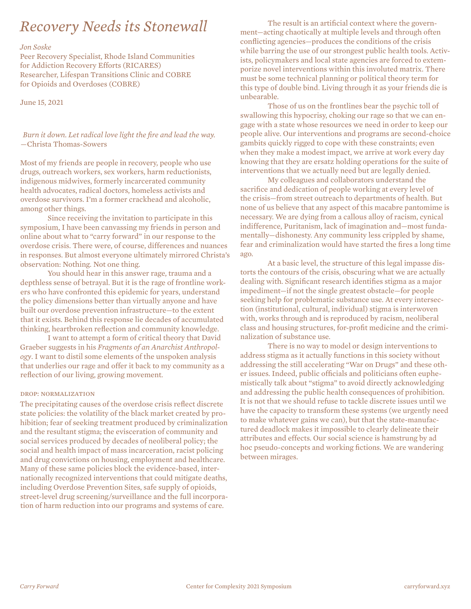# *Recovery Needs its Stonewall*

## *Jon Soske*

Peer Recovery Specialist, Rhode Island Communities for Addiction Recovery Efforts (RICARES) Researcher, Lifespan Transitions Clinic and COBRE for Opioids and Overdoses (COBRE)

June 15, 2021

*Burn it down. Let radical love light the fire and lead the way.* —Christa Thomas-Sowers

Most of my friends are people in recovery, people who use drugs, outreach workers, sex workers, harm reductionists, indigenous midwives, formerly incarcerated community health advocates, radical doctors, homeless activists and overdose survivors. I'm a former crackhead and alcoholic, among other things.

Since receiving the invitation to participate in this symposium, I have been canvassing my friends in person and online about what to "carry forward" in our response to the overdose crisis. There were, of course, differences and nuances in responses. But almost everyone ultimately mirrored Christa's observation: Nothing. Not one thing.

You should hear in this answer rage, trauma and a depthless sense of betrayal. But it is the rage of frontline workers who have confronted this epidemic for years, understand the policy dimensions better than virtually anyone and have built our overdose prevention infrastructure—to the extent that it exists. Behind this response lie decades of accumulated thinking, heartbroken reflection and community knowledge.

I want to attempt a form of critical theory that David Graeber suggests in his *Fragments of an Anarchist Anthropology*. I want to distil some elements of the unspoken analysis that underlies our rage and offer it back to my community as a reflection of our living, growing movement.

## drop: normalization

The precipitating causes of the overdose crisis reflect discrete state policies: the volatility of the black market created by prohibition; fear of seeking treatment produced by criminalization and the resultant stigma; the evisceration of community and social services produced by decades of neoliberal policy; the social and health impact of mass incarceration, racist policing and drug convictions on housing, employment and healthcare. Many of these same policies block the evidence-based, internationally recognized interventions that could mitigate deaths, including Overdose Prevention Sites, safe supply of opioids, street-level drug screening/surveillance and the full incorporation of harm reduction into our programs and systems of care.

The result is an artificial context where the government—acting chaotically at multiple levels and through often conflicting agencies—produces the conditions of the crisis while barring the use of our strongest public health tools. Activists, policymakers and local state agencies are forced to extemporize novel interventions within this involuted matrix. There must be some technical planning or political theory term for this type of double bind. Living through it as your friends die is unbearable.

Those of us on the frontlines bear the psychic toll of swallowing this hypocrisy, choking our rage so that we can engage with a state whose resources we need in order to keep our people alive. Our interventions and programs are second-choice gambits quickly rigged to cope with these constraints; even when they make a modest impact, we arrive at work every day knowing that they are ersatz holding operations for the suite of interventions that we actually need but are legally denied.

My colleagues and collaborators understand the sacrifice and dedication of people working at every level of the crisis—from street outreach to departments of health. But none of us believe that any aspect of this macabre pantomime is necessary. We are dying from a callous alloy of racism, cynical indifference, Puritanism, lack of imagination and—most fundamentally—dishonesty. Any community less crippled by shame, fear and criminalization would have started the fires a long time ago.

At a basic level, the structure of this legal impasse distorts the contours of the crisis, obscuring what we are actually dealing with. Significant research identifies stigma as a major impediment—if not the single greatest obstacle—for people seeking help for problematic substance use. At every intersection (institutional, cultural, individual) stigma is interwoven with, works through and is reproduced by racism, neoliberal class and housing structures, for-profit medicine and the criminalization of substance use.

There is no way to model or design interventions to address stigma as it actually functions in this society without addressing the still accelerating "War on Drugs" and these other issues. Indeed, public officials and politicians often euphemistically talk about "stigma" to avoid directly acknowledging and addressing the public health consequences of prohibition. It is not that we should refuse to tackle discrete issues until we have the capacity to transform these systems (we urgently need to make whatever gains we can), but that the state-manufactured deadlock makes it impossible to clearly delineate their attributes and effects. Our social science is hamstrung by ad hoc pseudo-concepts and working fictions. We are wandering between mirages.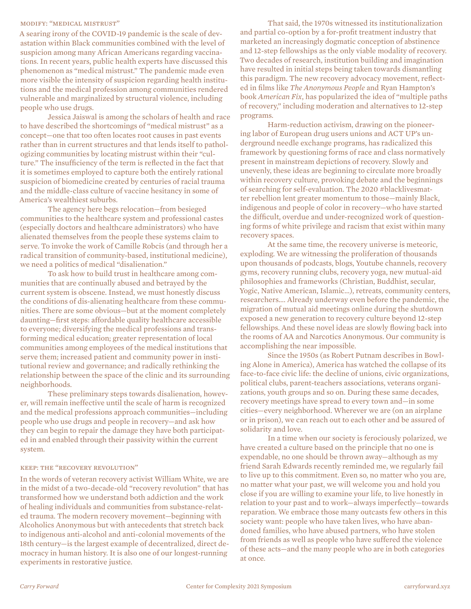#### modify: "medical mistrust"

A searing irony of the COVID-19 pandemic is the scale of devastation within Black communities combined with the level of suspicion among many African Americans regarding vaccinations. In recent years, public health experts have discussed this phenomenon as "medical mistrust." The pandemic made even more visible the intensity of suspicion regarding health institutions and the medical profession among communities rendered vulnerable and marginalized by structural violence, including people who use drugs.

Jessica Jaiswal is among the scholars of health and race to have described the shortcomings of "medical mistrust" as a concept—one that too often locates root causes in past events rather than in current structures and that lends itself to pathologizing communities by locating mistrust within their "culture." The insufficiency of the term is reflected in the fact that it is sometimes employed to capture both the entirely rational suspicion of biomedicine created by centuries of racial trauma and the middle-class culture of vaccine hesitancy in some of America's wealthiest suburbs.

The agency here begs relocation—from besieged communities to the healthcare system and professional castes (especially doctors and healthcare administrators) who have alienated themselves from the people these systems claim to serve. To invoke the work of Camille Robcis (and through her a radical transition of community-based, institutional medicine), we need a politics of medical "disalienation."

To ask how to build trust in healthcare among communities that are continually abused and betrayed by the current system is obscene. Instead, we must honestly discuss the conditions of dis-alienating healthcare from these communities. There are some obvious—but at the moment completely daunting—first steps: affordable quality healthcare accessible to everyone; diversifying the medical professions and transforming medical education; greater representation of local communities among employees of the medical institutions that serve them; increased patient and community power in institutional review and governance; and radically rethinking the relationship between the space of the clinic and its surrounding neighborhoods.

These preliminary steps towards disalienation, however, will remain ineffective until the scale of harm is recognized and the medical professions approach communities—including people who use drugs and people in recovery—and ask how they can begin to repair the damage they have both participated in and enabled through their passivity within the current system.

## keep: the "recovery revolution"

In the words of veteran recovery activist William White, we are in the midst of a two-decade-old "recovery revolution" that has transformed how we understand both addiction and the work of healing individuals and communities from substance-related trauma. The modern recovery movement—beginning with Alcoholics Anonymous but with antecedents that stretch back to indigenous anti-alcohol and anti-colonial movements of the 18th century—is the largest example of decentralized, direct democracy in human history. It is also one of our longest-running experiments in restorative justice.

That said, the 1970s witnessed its institutionalization and partial co-option by a for-profit treatment industry that marketed an increasingly dogmatic conception of abstinence and 12-step fellowships as the only viable modality of recovery. Two decades of research, institution building and imagination have resulted in initial steps being taken towards dismantling this paradigm. The new recovery advocacy movement, reflected in films like *The Anonymous People* and Ryan Hampton's book *American Fix*, has popularized the idea of "multiple paths of recovery," including moderation and alternatives to 12-step programs.

Harm-reduction activism, drawing on the pioneering labor of European drug users unions and ACT UP's underground needle exchange programs, has radicalized this framework by questioning forms of race and class normatively present in mainstream depictions of recovery. Slowly and unevenly, these ideas are beginning to circulate more broadly within recovery culture, provoking debate and the beginnings of searching for self-evaluation. The 2020 #blacklivesmatter rebellion lent greater momentum to those—mainly Black, indigenous and people of color in recovery—who have started the difficult, overdue and under-recognized work of questioning forms of white privilege and racism that exist within many recovery spaces.

At the same time, the recovery universe is meteoric, exploding. We are witnessing the proliferation of thousands upon thousands of podcasts, blogs, Youtube channels, recovery gyms, recovery running clubs, recovery yoga, new mutual-aid philosophies and frameworks (Christian, Buddhist, secular, Yogic, Native American, Islamic…), retreats, community centers, researchers…. Already underway even before the pandemic, the migration of mutual aid meetings online during the shutdown exposed a new generation to recovery culture beyond 12-step fellowships. And these novel ideas are slowly flowing back into the rooms of AA and Narcotics Anonymous. Our community is accomplishing the near impossible.

Since the 1950s (as Robert Putnam describes in Bowling Alone in America), America has watched the collapse of its face-to-face civic life: the decline of unions, civic organizations, political clubs, parent-teachers associations, veterans organizations, youth groups and so on. During these same decades, recovery meetings have spread to every town and—in some cities—every neighborhood. Wherever we are (on an airplane or in prison), we can reach out to each other and be assured of solidarity and love.

In a time when our society is ferociously polarized, we have created a culture based on the principle that no one is expendable, no one should be thrown away—although as my friend Sarah Edwards recently reminded me, we regularly fail to live up to this commitment. Even so, no matter who you are, no matter what your past, we will welcome you and hold you close if you are willing to examine your life, to live honestly in relation to your past and to work—always imperfectly—towards reparation. We embrace those many outcasts few others in this society want: people who have taken lives, who have abandoned families, who have abused partners, who have stolen from friends as well as people who have suffered the violence of these acts—and the many people who are in both categories at once.